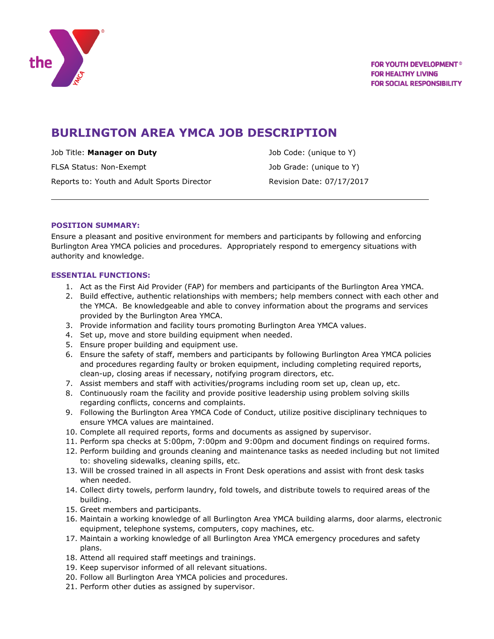

# **BURLINGTON AREA YMCA JOB DESCRIPTION**

Job Title: **Manager on Duty** Job Code: (unique to Y)

Reports to: Youth and Adult Sports Director Revision Date: 07/17/2017

FLSA Status: Non-Exempt The Control of Control of Job Grade: (unique to Y)

### **POSITION SUMMARY:**

Ensure a pleasant and positive environment for members and participants by following and enforcing Burlington Area YMCA policies and procedures. Appropriately respond to emergency situations with authority and knowledge.

## **ESSENTIAL FUNCTIONS:**

- 1. Act as the First Aid Provider (FAP) for members and participants of the Burlington Area YMCA.
- 2. Build effective, authentic relationships with members; help members connect with each other and the YMCA. Be knowledgeable and able to convey information about the programs and services provided by the Burlington Area YMCA.
- 3. Provide information and facility tours promoting Burlington Area YMCA values.
- 4. Set up, move and store building equipment when needed.
- 5. Ensure proper building and equipment use.
- 6. Ensure the safety of staff, members and participants by following Burlington Area YMCA policies and procedures regarding faulty or broken equipment, including completing required reports, clean-up, closing areas if necessary, notifying program directors, etc.
- 7. Assist members and staff with activities/programs including room set up, clean up, etc.
- 8. Continuously roam the facility and provide positive leadership using problem solving skills regarding conflicts, concerns and complaints.
- 9. Following the Burlington Area YMCA Code of Conduct, utilize positive disciplinary techniques to ensure YMCA values are maintained.
- 10. Complete all required reports, forms and documents as assigned by supervisor.
- 11. Perform spa checks at 5:00pm, 7:00pm and 9:00pm and document findings on required forms.
- 12. Perform building and grounds cleaning and maintenance tasks as needed including but not limited to: shoveling sidewalks, cleaning spills, etc.
- 13. Will be crossed trained in all aspects in Front Desk operations and assist with front desk tasks when needed.
- 14. Collect dirty towels, perform laundry, fold towels, and distribute towels to required areas of the building.
- 15. Greet members and participants.
- 16. Maintain a working knowledge of all Burlington Area YMCA building alarms, door alarms, electronic equipment, telephone systems, computers, copy machines, etc.
- 17. Maintain a working knowledge of all Burlington Area YMCA emergency procedures and safety plans.
- 18. Attend all required staff meetings and trainings.
- 19. Keep supervisor informed of all relevant situations.
- 20. Follow all Burlington Area YMCA policies and procedures.
- 21. Perform other duties as assigned by supervisor.